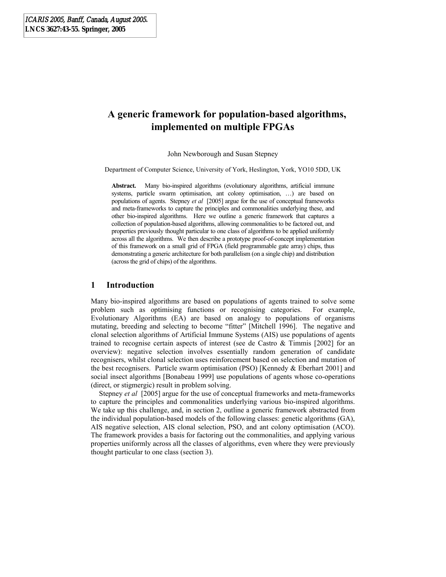John Newborough and Susan Stepney

Department of Computer Science, University of York, Heslington, York, YO10 5DD, UK

**Abstract.** Many bio-inspired algorithms (evolutionary algorithms, artificial immune systems, particle swarm optimisation, ant colony optimisation, …) are based on populations of agents. Stepney *et al* [2005] argue for the use of conceptual frameworks and meta-frameworks to capture the principles and commonalities underlying these, and other bio-inspired algorithms. Here we outline a generic framework that captures a collection of population-based algorithms, allowing commonalities to be factored out, and properties previously thought particular to one class of algorithms to be applied uniformly across all the algorithms. We then describe a prototype proof-of-concept implementation of this framework on a small grid of FPGA (field programmable gate array) chips, thus demonstrating a generic architecture for both parallelism (on a single chip) and distribution (across the grid of chips) of the algorithms.

# **1 Introduction**

Many bio-inspired algorithms are based on populations of agents trained to solve some problem such as optimising functions or recognising categories. For example, Evolutionary Algorithms (EA) are based on analogy to populations of organisms mutating, breeding and selecting to become "fitter" [Mitchell 1996]. The negative and clonal selection algorithms of Artificial Immune Systems (AIS) use populations of agents trained to recognise certain aspects of interest (see de Castro & Timmis [2002] for an overview): negative selection involves essentially random generation of candidate recognisers, whilst clonal selection uses reinforcement based on selection and mutation of the best recognisers. Particle swarm optimisation (PSO) [Kennedy & Eberhart 2001] and social insect algorithms [Bonabeau 1999] use populations of agents whose co-operations (direct, or stigmergic) result in problem solving.

Stepney *et al* [2005] argue for the use of conceptual frameworks and meta-frameworks to capture the principles and commonalities underlying various bio-inspired algorithms. We take up this challenge, and, in section 2, outline a generic framework abstracted from the individual population-based models of the following classes: genetic algorithms (GA), AIS negative selection, AIS clonal selection, PSO, and ant colony optimisation (ACO). The framework provides a basis for factoring out the commonalities, and applying various properties uniformly across all the classes of algorithms, even where they were previously thought particular to one class (section 3).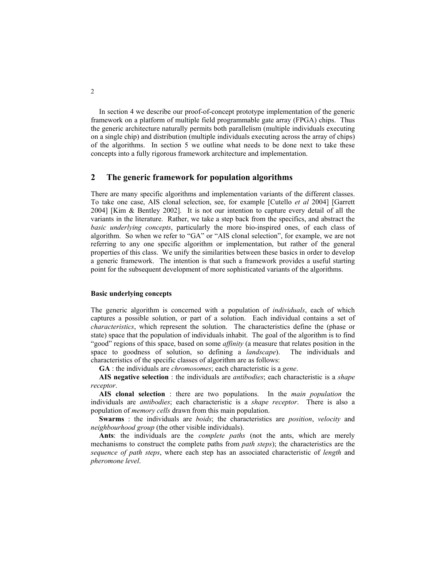In section 4 we describe our proof-of-concept prototype implementation of the generic framework on a platform of multiple field programmable gate array (FPGA) chips. Thus the generic architecture naturally permits both parallelism (multiple individuals executing on a single chip) and distribution (multiple individuals executing across the array of chips) of the algorithms. In section 5 we outline what needs to be done next to take these concepts into a fully rigorous framework architecture and implementation.

# **2 The generic framework for population algorithms**

There are many specific algorithms and implementation variants of the different classes. To take one case, AIS clonal selection, see, for example [Cutello *et al* 2004] [Garrett 2004] [Kim & Bentley 2002]. It is not our intention to capture every detail of all the variants in the literature. Rather, we take a step back from the specifics, and abstract the *basic underlying concepts*, particularly the more bio-inspired ones, of each class of algorithm. So when we refer to "GA" or "AIS clonal selection", for example, we are not referring to any one specific algorithm or implementation, but rather of the general properties of this class. We unify the similarities between these basics in order to develop a generic framework. The intention is that such a framework provides a useful starting point for the subsequent development of more sophisticated variants of the algorithms.

#### **Basic underlying concepts**

The generic algorithm is concerned with a population of *individuals*, each of which captures a possible solution, or part of a solution. Each individual contains a set of *characteristics*, which represent the solution. The characteristics define the (phase or state) space that the population of individuals inhabit. The goal of the algorithm is to find "good" regions of this space, based on some *affinity* (a measure that relates position in the space to goodness of solution, so defining a *landscape*). The individuals and characteristics of the specific classes of algorithm are as follows:

**GA** : the individuals are *chromosomes*; each characteristic is a *gene*.

**AIS negative selection** : the individuals are *antibodies*; each characteristic is a *shape receptor*.

**AIS clonal selection** : there are two populations. In the *main population* the individuals are *antibodies*; each characteristic is a *shape receptor*. There is also a population of *memory cells* drawn from this main population.

**Swarms** : the individuals are *boids*; the characteristics are *position*, *velocity* and *neighbourhood group* (the other visible individuals).

**Ants**: the individuals are the *complete paths* (not the ants, which are merely mechanisms to construct the complete paths from *path steps*); the characteristics are the *sequence of path steps*, where each step has an associated characteristic of *length* and *pheromone level*.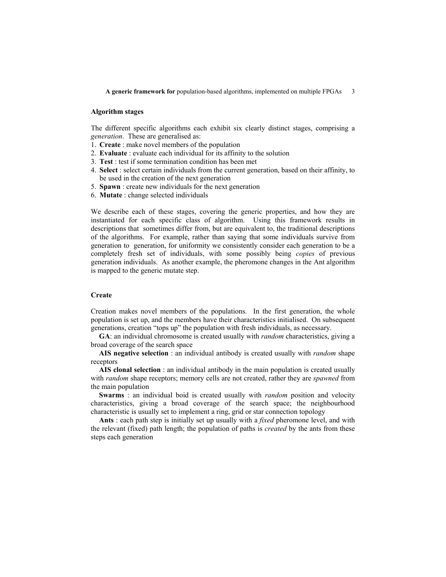### **Algorithm stages**

The different specific algorithms each exhibit six clearly distinct stages, comprising a *generation*. These are generalised as:

- 1. **Create** : make novel members of the population
- 2. **Evaluate** : evaluate each individual for its affinity to the solution
- 3. **Test** : test if some termination condition has been met
- 4. **Select** : select certain individuals from the current generation, based on their affinity, to be used in the creation of the next generation
- 5. **Spawn** : create new individuals for the next generation
- 6. **Mutate** : change selected individuals

We describe each of these stages, covering the generic properties, and how they are instantiated for each specific class of algorithm. Using this framework results in descriptions that sometimes differ from, but are equivalent to, the traditional descriptions of the algorithms. For example, rather than saying that some individuals survive from generation to generation, for uniformity we consistently consider each generation to be a completely fresh set of individuals, with some possibly being *copies* of previous generation individuals. As another example, the pheromone changes in the Ant algorithm is mapped to the generic mutate step.

## **Create**

Creation makes novel members of the populations. In the first generation, the whole population is set up, and the members have their characteristics initialised. On subsequent generations, creation "tops up" the population with fresh individuals, as necessary.

**GA**: an individual chromosome is created usually with *random* characteristics, giving a broad coverage of the search space

**AIS negative selection** : an individual antibody is created usually with *random* shape receptors

**AIS clonal selection** : an individual antibody in the main population is created usually with *random* shape receptors; memory cells are not created, rather they are *spawned* from the main population

**Swarms** : an individual boid is created usually with *random* position and velocity characteristics, giving a broad coverage of the search space; the neighbourhood characteristic is usually set to implement a ring, grid or star connection topology

**Ants** : each path step is initially set up usually with a *fixed* pheromone level, and with the relevant (fixed) path length; the population of paths is *created* by the ants from these steps each generation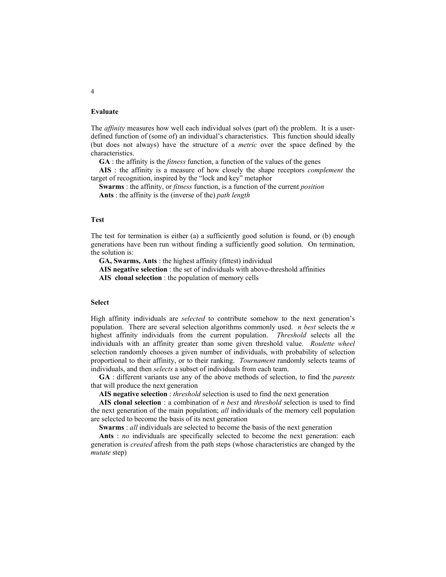## **Evaluate**

The *affinity* measures how well each individual solves (part of) the problem. It is a userdefined function of (some of) an individual's characteristics. This function should ideally (but does not always) have the structure of a *metric* over the space defined by the characteristics.

**GA** : the affinity is the *fitness* function, a function of the values of the genes

**AIS** : the affinity is a measure of how closely the shape receptors *complement* the target of recognition, inspired by the "lock and key" metaphor

**Swarms** : the affinity, or *fitness* function, is a function of the current *position* **Ants** : the affinity is the (inverse of the) *path length*

## **Test**

The test for termination is either (a) a sufficiently good solution is found, or (b) enough generations have been run without finding a sufficiently good solution. On termination, the solution is:

**GA, Swarms, Ants** : the highest affinity (fittest) individual

**AIS negative selection** : the set of individuals with above-threshold affinities

**AIS clonal selection** : the population of memory cells

#### **Select**

High affinity individuals are *selected* to contribute somehow to the next generation's population. There are several selection algorithms commonly used. *n best* selects the *n* highest affinity individuals from the current population. *Threshold* selects all the individuals with an affinity greater than some given threshold value. *Roulette wheel* selection randomly chooses a given number of individuals, with probability of selection proportional to their affinity, or to their ranking. *Tournament* randomly selects teams of individuals, and then *selects* a subset of individuals from each team.

**GA** : different variants use any of the above methods of selection, to find the *parents* that will produce the next generation

**AIS negative selection** : *threshold* selection is used to find the next generation

**AIS clonal selection** : a combination of *n best* and *threshold* selection is used to find the next generation of the main population; *all* individuals of the memory cell population are selected to become the basis of its next generation

**Swarms** : *all* individuals are selected to become the basis of the next generation

**Ants** : *no* individuals are specifically selected to become the next generation: each generation is *created* afresh from the path steps (whose characteristics are changed by the *mutate* step)

4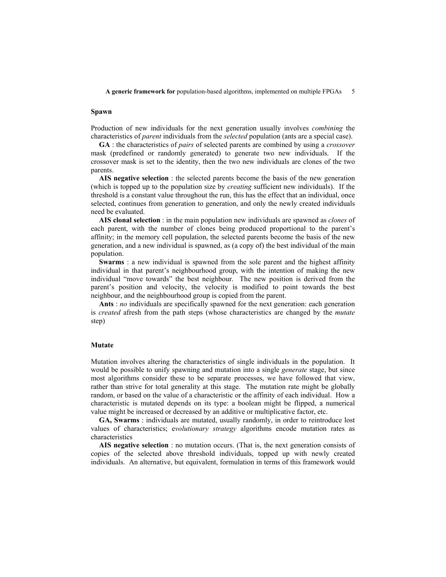#### **Spawn**

Production of new individuals for the next generation usually involves *combining* the characteristics of *parent* individuals from the *selected* population (ants are a special case).

**GA** : the characteristics of *pairs* of selected parents are combined by using a *crossover* mask (predefined or randomly generated) to generate two new individuals. If the crossover mask is set to the identity, then the two new individuals are clones of the two parents.

**AIS negative selection** : the selected parents become the basis of the new generation (which is topped up to the population size by *creating* sufficient new individuals). If the threshold is a constant value throughout the run, this has the effect that an individual, once selected, continues from generation to generation, and only the newly created individuals need be evaluated.

**AIS clonal selection** : in the main population new individuals are spawned as *clones* of each parent, with the number of clones being produced proportional to the parent's affinity; in the memory cell population, the selected parents become the basis of the new generation, and a new individual is spawned, as (a copy of) the best individual of the main population.

**Swarms** : a new individual is spawned from the sole parent and the highest affinity individual in that parent's neighbourhood group, with the intention of making the new individual "move towards" the best neighbour. The new position is derived from the parent's position and velocity, the velocity is modified to point towards the best neighbour, and the neighbourhood group is copied from the parent.

**Ants** : *no* individuals are specifically spawned for the next generation: each generation is *created* afresh from the path steps (whose characteristics are changed by the *mutate* step)

## **Mutate**

Mutation involves altering the characteristics of single individuals in the population. It would be possible to unify spawning and mutation into a single *generate* stage, but since most algorithms consider these to be separate processes, we have followed that view, rather than strive for total generality at this stage. The mutation rate might be globally random, or based on the value of a characteristic or the affinity of each individual. How a characteristic is mutated depends on its type: a boolean might be flipped, a numerical value might be increased or decreased by an additive or multiplicative factor, etc.

**GA, Swarms** : individuals are mutated, usually randomly, in order to reintroduce lost values of characteristics; e*volutionary strategy* algorithms encode mutation rates as characteristics

**AIS negative selection** : no mutation occurs. (That is, the next generation consists of copies of the selected above threshold individuals, topped up with newly created individuals. An alternative, but equivalent, formulation in terms of this framework would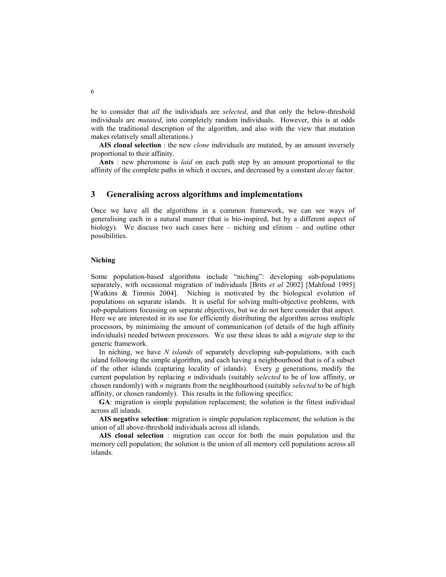be to consider that *all* the individuals are *selected*, and that only the below-threshold individuals are *mutated*, into completely random individuals. However, this is at odds with the traditional description of the algorithm, and also with the view that mutation makes relatively small alterations.)

**AIS clonal selection** : the new *clone* individuals are mutated, by an amount inversely proportional to their affinity.

**Ants** : new pheromone is *laid* on each path step by an amount proportional to the affinity of the complete paths in which it occurs, and decreased by a constant *decay* factor.

# **3 Generalising across algorithms and implementations**

Once we have all the algorithms in a common framework, we can see ways of generalising each in a natural manner (that is bio-inspired, but by a different aspect of biology). We discuss two such cases here – niching and elitism – and outline other possibilities.

### **Niching**

Some population-based algorithms include "niching": developing sub-populations separately, with occasional migration of individuals [Brits *et al* 2002] [Mahfoud 1995] [Watkins & Timmis 2004]. Niching is motivated by the biological evolution of populations on separate islands. It is useful for solving multi-objective problems, with sub-populations focussing on separate objectives, but we do not here consider that aspect. Here we are interested in its use for efficiently distributing the algorithm across multiple processors, by minimising the amount of communication (of details of the high affinity individuals) needed between processors. We use these ideas to add a *migrate* step to the generic framework.

In niching, we have *N islands* of separately developing sub-populations, with each island following the simple algorithm, and each having a neighbourhood that is of a subset of the other islands (capturing locality of islands). Every *g* generations, modify the current population by replacing *n* individuals (suitably *selected* to be of low affinity, or chosen randomly) with *n* migrants from the neighbourhood (suitably *selected* to be of high affinity, or chosen randomly). This results in the following specifics:

**GA**: migration is simple population replacement; the solution is the fittest individual across all islands.

**AIS negative selection**: migration is simple population replacement; the solution is the union of all above-threshold individuals across all islands.

**AIS clonal selection** : migration can occur for both the main population and the memory cell population; the solution is the union of all memory cell populations across all islands.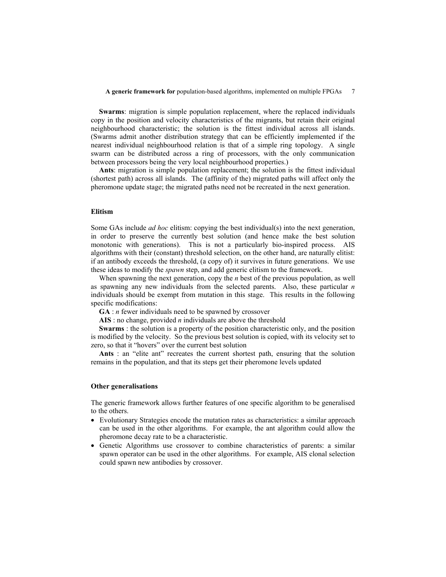**Swarms**: migration is simple population replacement, where the replaced individuals copy in the position and velocity characteristics of the migrants, but retain their original neighbourhood characteristic; the solution is the fittest individual across all islands. (Swarms admit another distribution strategy that can be efficiently implemented if the nearest individual neighbourhood relation is that of a simple ring topology. A single swarm can be distributed across a ring of processors, with the only communication between processors being the very local neighbourhood properties.)

**Ants**: migration is simple population replacement; the solution is the fittest individual (shortest path) across all islands. The (affinity of the) migrated paths will affect only the pheromone update stage; the migrated paths need not be recreated in the next generation.

## **Elitism**

Some GAs include *ad hoc* elitism: copying the best individual(s) into the next generation, in order to preserve the currently best solution (and hence make the best solution monotonic with generations). This is not a particularly bio-inspired process. AIS algorithms with their (constant) threshold selection, on the other hand, are naturally elitist: if an antibody exceeds the threshold, (a copy of) it survives in future generations. We use these ideas to modify the *spawn* step, and add generic elitism to the framework.

When spawning the next generation, copy the *n* best of the previous population, as well as spawning any new individuals from the selected parents. Also, these particular *n* individuals should be exempt from mutation in this stage. This results in the following specific modifications:

**GA** : *n* fewer individuals need to be spawned by crossover

**AIS** : no change, provided *n* individuals are above the threshold

**Swarms** : the solution is a property of the position characteristic only, and the position is modified by the velocity. So the previous best solution is copied, with its velocity set to zero, so that it "hovers" over the current best solution

**Ants** : an "elite ant" recreates the current shortest path, ensuring that the solution remains in the population, and that its steps get their pheromone levels updated

## **Other generalisations**

The generic framework allows further features of one specific algorithm to be generalised to the others.

- Evolutionary Strategies encode the mutation rates as characteristics: a similar approach can be used in the other algorithms. For example, the ant algorithm could allow the pheromone decay rate to be a characteristic.
- Genetic Algorithms use crossover to combine characteristics of parents: a similar spawn operator can be used in the other algorithms. For example, AIS clonal selection could spawn new antibodies by crossover.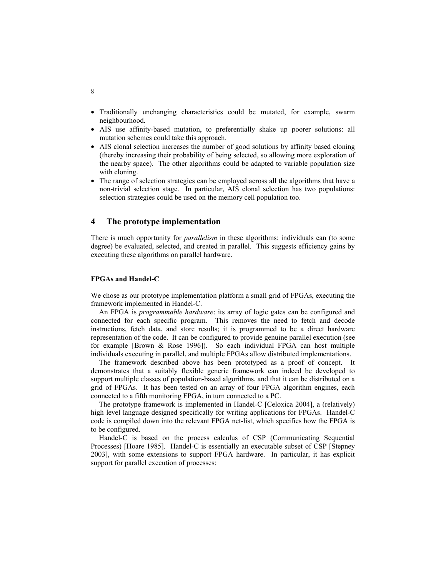- Traditionally unchanging characteristics could be mutated, for example, swarm neighbourhood.
- AIS use affinity-based mutation, to preferentially shake up poorer solutions: all mutation schemes could take this approach.
- AIS clonal selection increases the number of good solutions by affinity based cloning (thereby increasing their probability of being selected, so allowing more exploration of the nearby space). The other algorithms could be adapted to variable population size with cloning.
- The range of selection strategies can be employed across all the algorithms that have a non-trivial selection stage. In particular, AIS clonal selection has two populations: selection strategies could be used on the memory cell population too.

# **4 The prototype implementation**

There is much opportunity for *parallelism* in these algorithms: individuals can (to some degree) be evaluated, selected, and created in parallel. This suggests efficiency gains by executing these algorithms on parallel hardware.

#### **FPGAs and Handel-C**

We chose as our prototype implementation platform a small grid of FPGAs, executing the framework implemented in Handel-C.

An FPGA is *programmable hardware*: its array of logic gates can be configured and connected for each specific program. This removes the need to fetch and decode instructions, fetch data, and store results; it is programmed to be a direct hardware representation of the code. It can be configured to provide genuine parallel execution (see for example [Brown & Rose 1996]). So each individual FPGA can host multiple individuals executing in parallel, and multiple FPGAs allow distributed implementations.

The framework described above has been prototyped as a proof of concept. It demonstrates that a suitably flexible generic framework can indeed be developed to support multiple classes of population-based algorithms, and that it can be distributed on a grid of FPGAs. It has been tested on an array of four FPGA algorithm engines, each connected to a fifth monitoring FPGA, in turn connected to a PC.

The prototype framework is implemented in Handel-C [Celoxica 2004], a (relatively) high level language designed specifically for writing applications for FPGAs. Handel-C code is compiled down into the relevant FPGA net-list, which specifies how the FPGA is to be configured.

Handel-C is based on the process calculus of CSP (Communicating Sequential Processes) [Hoare 1985]. Handel-C is essentially an executable subset of CSP [Stepney 2003], with some extensions to support FPGA hardware. In particular, it has explicit support for parallel execution of processes:

8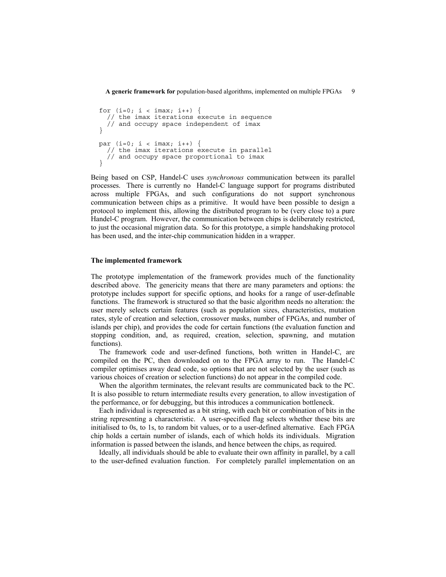```
for (i=0; i < imax; i++) {
   // the imax iterations execute in sequence 
   // and occupy space independent of imax 
} 
par (i=0; i < imax; i++) {
   // the imax iterations execute in parallel 
   // and occupy space proportional to imax 
}
```
Being based on CSP, Handel-C uses *synchronous* communication between its parallel processes. There is currently no Handel-C language support for programs distributed across multiple FPGAs, and such configurations do not support synchronous communication between chips as a primitive. It would have been possible to design a protocol to implement this, allowing the distributed program to be (very close to) a pure Handel-C program. However, the communication between chips is deliberately restricted, to just the occasional migration data. So for this prototype, a simple handshaking protocol has been used, and the inter-chip communication hidden in a wrapper.

#### **The implemented framework**

The prototype implementation of the framework provides much of the functionality described above. The genericity means that there are many parameters and options: the prototype includes support for specific options, and hooks for a range of user-definable functions. The framework is structured so that the basic algorithm needs no alteration: the user merely selects certain features (such as population sizes, characteristics, mutation rates, style of creation and selection, crossover masks, number of FPGAs, and number of islands per chip), and provides the code for certain functions (the evaluation function and stopping condition, and, as required, creation, selection, spawning, and mutation functions).

The framework code and user-defined functions, both written in Handel-C, are compiled on the PC, then downloaded on to the FPGA array to run. The Handel-C compiler optimises away dead code, so options that are not selected by the user (such as various choices of creation or selection functions) do not appear in the compiled code.

When the algorithm terminates, the relevant results are communicated back to the PC. It is also possible to return intermediate results every generation, to allow investigation of the performance, or for debugging, but this introduces a communication bottleneck.

Each individual is represented as a bit string, with each bit or combination of bits in the string representing a characteristic. A user-specified flag selects whether these bits are initialised to 0s, to 1s, to random bit values, or to a user-defined alternative. Each FPGA chip holds a certain number of islands, each of which holds its individuals. Migration information is passed between the islands, and hence between the chips, as required.

Ideally, all individuals should be able to evaluate their own affinity in parallel, by a call to the user-defined evaluation function. For completely parallel implementation on an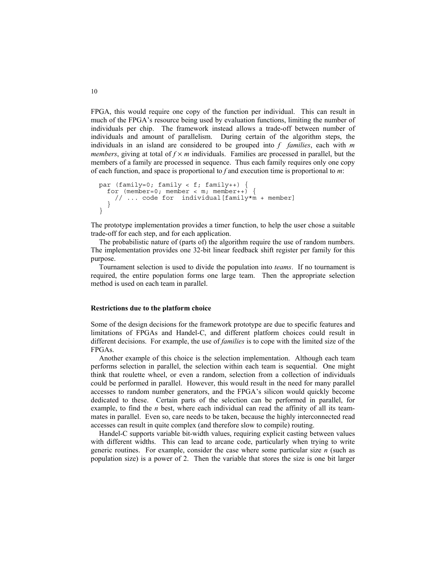FPGA, this would require one copy of the function per individual. This can result in much of the FPGA's resource being used by evaluation functions, limiting the number of individuals per chip. The framework instead allows a trade-off between number of individuals and amount of parallelism. During certain of the algorithm steps, the individuals in an island are considered to be grouped into *f families*, each with *m members*, giving at total of  $f \times m$  individuals. Families are processed in parallel, but the members of a family are processed in sequence. Thus each family requires only one copy of each function, and space is proportional to *f* and execution time is proportional to *m*:

```
par (family=0; family < f; family++) { 
  for (member=0; member < m; member++) // ... code for individual[family*m + member] 
 } 
}
```
The prototype implementation provides a timer function, to help the user chose a suitable trade-off for each step, and for each application.

The probabilistic nature of (parts of) the algorithm require the use of random numbers. The implementation provides one 32-bit linear feedback shift register per family for this purpose.

Tournament selection is used to divide the population into *teams*. If no tournament is required, the entire population forms one large team. Then the appropriate selection method is used on each team in parallel.

#### **Restrictions due to the platform choice**

Some of the design decisions for the framework prototype are due to specific features and limitations of FPGAs and Handel-C, and different platform choices could result in different decisions. For example, the use of *families* is to cope with the limited size of the FPGAs.

Another example of this choice is the selection implementation. Although each team performs selection in parallel, the selection within each team is sequential. One might think that roulette wheel, or even a random, selection from a collection of individuals could be performed in parallel. However, this would result in the need for many parallel accesses to random number generators, and the FPGA's silicon would quickly become dedicated to these. Certain parts of the selection can be performed in parallel, for example, to find the *n* best, where each individual can read the affinity of all its teammates in parallel. Even so, care needs to be taken, because the highly interconnected read accesses can result in quite complex (and therefore slow to compile) routing.

Handel-C supports variable bit-width values, requiring explicit casting between values with different widths. This can lead to arcane code, particularly when trying to write generic routines. For example, consider the case where some particular size *n* (such as population size) is a power of 2. Then the variable that stores the size is one bit larger

10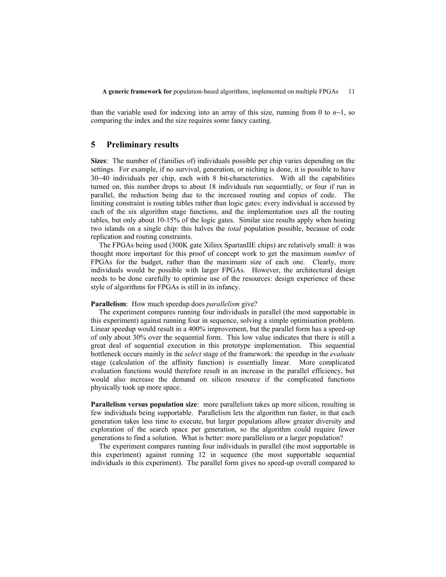than the variable used for indexing into an array of this size, running from 0 to *n*−1, so comparing the index and the size requires some fancy casting.

# **5 Preliminary results**

**Sizes**: The number of (families of) individuals possible per chip varies depending on the settings. For example, if no survival, generation, or niching is done, it is possible to have 30−40 individuals per chip, each with 8 bit-characteristics. With all the capabilities turned on, this number drops to about 18 individuals run sequentially, or four if run in parallel, the reduction being due to the increased routing and copies of code. The limiting constraint is routing tables rather than logic gates: every individual is accessed by each of the six algorithm stage functions, and the implementation uses all the routing tables, but only about 10-15% of the logic gates. Similar size results apply when hosting two islands on a single chip: this halves the *total* population possible, because of code replication and routing constraints.

The FPGAs being used (300K gate Xilinx SpartanIIE chips) are relatively small: it was thought more important for this proof of concept work to get the maximum *number* of FPGAs for the budget, rather than the maximum size of each one. Clearly, more individuals would be possible with larger FPGAs. However, the architectural design needs to be done carefully to optimise use of the resources: design experience of these style of algorithms for FPGAs is still in its infancy.

#### **Parallelism**: How much speedup does *parallelism* give?

The experiment compares running four individuals in parallel (the most supportable in this experiment) against running four in sequence, solving a simple optimisation problem. Linear speedup would result in a 400% improvement, but the parallel form has a speed-up of only about 30% over the sequential form. This low value indicates that there is still a great deal of sequential execution in this prototype implementation. This sequential bottleneck occurs mainly in the *select* stage of the framework: the speedup in the *evaluate* stage (calculation of the affinity function) is essentially linear. More complicated evaluation functions would therefore result in an increase in the parallel efficiency, but would also increase the demand on silicon resource if the complicated functions physically took up more space.

**Parallelism versus population size**: more parallelism takes up more silicon, resulting in few individuals being supportable. Parallelism lets the algorithm run faster, in that each generation takes less time to execute, but larger populations allow greater diversity and exploration of the search space per generation, so the algorithm could require fewer generations to find a solution. What is better: more parallelism or a larger population?

The experiment compares running four individuals in parallel (the most supportable in this experiment) against running 12 in sequence (the most supportable sequential individuals in this experiment). The parallel form gives no speed-up overall compared to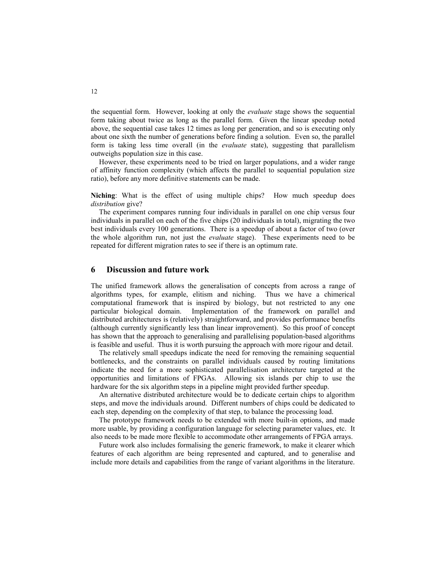the sequential form. However, looking at only the *evaluate* stage shows the sequential form taking about twice as long as the parallel form. Given the linear speedup noted above, the sequential case takes 12 times as long per generation, and so is executing only about one sixth the number of generations before finding a solution. Even so, the parallel form is taking less time overall (in the *evaluate* state), suggesting that parallelism outweighs population size in this case.

However, these experiments need to be tried on larger populations, and a wider range of affinity function complexity (which affects the parallel to sequential population size ratio), before any more definitive statements can be made.

**Niching**: What is the effect of using multiple chips? How much speedup does *distribution* give?

The experiment compares running four individuals in parallel on one chip versus four individuals in parallel on each of the five chips (20 individuals in total), migrating the two best individuals every 100 generations. There is a speedup of about a factor of two (over the whole algorithm run, not just the *evaluate* stage). These experiments need to be repeated for different migration rates to see if there is an optimum rate.

# **6 Discussion and future work**

The unified framework allows the generalisation of concepts from across a range of algorithms types, for example, elitism and niching. Thus we have a chimerical computational framework that is inspired by biology, but not restricted to any one particular biological domain. Implementation of the framework on parallel and distributed architectures is (relatively) straightforward, and provides performance benefits (although currently significantly less than linear improvement). So this proof of concept has shown that the approach to generalising and parallelising population-based algorithms is feasible and useful. Thus it is worth pursuing the approach with more rigour and detail.

The relatively small speedups indicate the need for removing the remaining sequential bottlenecks, and the constraints on parallel individuals caused by routing limitations indicate the need for a more sophisticated parallelisation architecture targeted at the opportunities and limitations of FPGAs. Allowing six islands per chip to use the hardware for the six algorithm steps in a pipeline might provided further speedup.

An alternative distributed architecture would be to dedicate certain chips to algorithm steps, and move the individuals around. Different numbers of chips could be dedicated to each step, depending on the complexity of that step, to balance the processing load.

The prototype framework needs to be extended with more built-in options, and made more usable, by providing a configuration language for selecting parameter values, etc. It also needs to be made more flexible to accommodate other arrangements of FPGA arrays.

Future work also includes formalising the generic framework, to make it clearer which features of each algorithm are being represented and captured, and to generalise and include more details and capabilities from the range of variant algorithms in the literature.